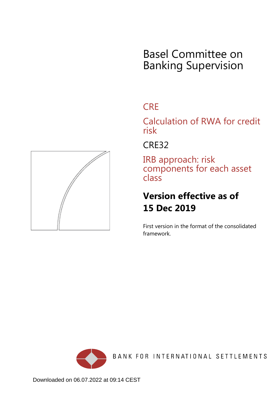# Basel Committee on Banking Supervision

## **CRE**

Calculation of RWA for credit risk

CRE32

IRB approach: risk components for each asset class

## **Version effective as of 15 Dec 2019**

First version in the format of the consolidated framework.



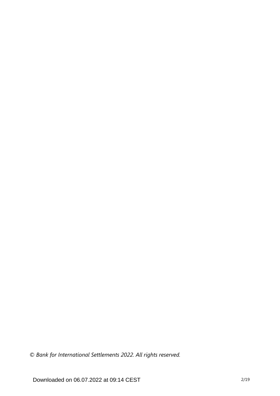*© Bank for International Settlements 2022. All rights reserved.*

Downloaded on 06.07.2022 at 09:14 CEST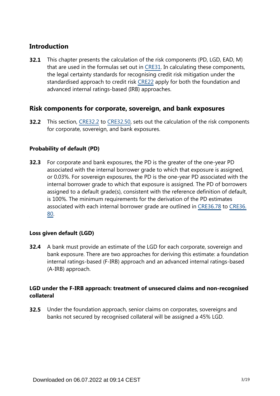## **Introduction**

This chapter presents the calculation of the risk components (PD, LGD, EAD, M) that are used in the formulas set out in [CRE31.](https://www.bis.org/basel_framework/chapter/CRE/31.htm?tldate=20210228&inforce=20191215&published=20191215) In calculating these components, the legal certainty standards for recognising credit risk mitigation under the standardised approach to credit risk [CRE22](https://www.bis.org/basel_framework/chapter/CRE/22.htm?tldate=20210228&inforce=20191215&published=20191215) apply for both the foundation and advanced internal ratings-based (IRB) approaches. **32.1**

## **Risk components for corporate, sovereign, and bank exposures**

**32.2** This section, [CRE32.2](https://www.bis.org/basel_framework/chapter/CRE/32.htm?tldate=20210228&inforce=20191215&published=20191215#paragraph_CRE_32_20191215_32_2) to [CRE32.50,](https://www.bis.org/basel_framework/chapter/CRE/32.htm?tldate=20210228&inforce=20191215&published=20191215#paragraph_CRE_32_20191215_32_50) sets out the calculation of the risk components for corporate, sovereign, and bank exposures.

## **Probability of default (PD)**

For corporate and bank exposures, the PD is the greater of the one-year PD associated with the internal borrower grade to which that exposure is assigned, or 0.03%. For sovereign exposures, the PD is the one-year PD associated with the internal borrower grade to which that exposure is assigned. The PD of borrowers assigned to a default grade(s), consistent with the reference definition of default, is 100%. The minimum requirements for the derivation of the PD estimates associated with each internal borrower grade are outlined in [CRE36.78](https://www.bis.org/basel_framework/chapter/CRE/36.htm?tldate=20210228&inforce=20191215&published=20191215#paragraph_CRE_36_20191215_36_78) to [CRE36.](https://www.bis.org/basel_framework/chapter/CRE/36.htm?tldate=20210228&inforce=20191215&published=20191215#paragraph_CRE_36_20191215_36_80) [80](https://www.bis.org/basel_framework/chapter/CRE/36.htm?tldate=20210228&inforce=20191215&published=20191215#paragraph_CRE_36_20191215_36_80). **32.3**

## **Loss given default (LGD)**

**32.4** A bank must provide an estimate of the LGD for each corporate, sovereign and bank exposure. There are two approaches for deriving this estimate: a foundation internal ratings-based (F-IRB) approach and an advanced internal ratings-based (A-IRB) approach.

## **LGD under the F-IRB approach: treatment of unsecured claims and non-recognised collateral**

Under the foundation approach, senior claims on corporates, sovereigns and banks not secured by recognised collateral will be assigned a 45% LGD. **32.5**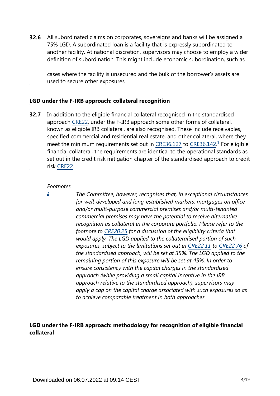**32.6** All subordinated claims on corporates, sovereigns and banks will be assigned a 75% LGD. A subordinated loan is a facility that is expressly subordinated to another facility. At national discretion, supervisors may choose to employ a wider definition of subordination. This might include economic subordination, such as

cases where the facility is unsecured and the bulk of the borrower's assets are used to secure other exposures.

#### **LGD under the F-IRB approach: collateral recognition**

<span id="page-3-1"></span>In addition to the eligible financial collateral recognised in the standardised approach [CRE22,](https://www.bis.org/basel_framework/chapter/CRE/22.htm?tldate=20210228&inforce=20191215&published=20191215) under the F-IRB approach some other forms of collateral, known as eligible IRB collateral, are also recognised. These include receivables, specified commercial and residential real estate, and other collateral, where they meet the minimum requirements set out in [CRE36.127](https://www.bis.org/basel_framework/chapter/CRE/36.htm?tldate=20210228&inforce=20191215&published=20191215#paragraph_CRE_36_20191215_36_127) to [CRE36.142](https://www.bis.org/basel_framework/chapter/CRE/36.htm?tldate=20210228&inforce=20191215&published=20191215#paragraph_CRE_36_20191215_36_142).<sup>[1](#page-3-0)</sup> For eligible financial collateral, the requirements are identical to the operational standards as set out in the credit risk mitigation chapter of the standardised approach to credit risk [CRE22](https://www.bis.org/basel_framework/chapter/CRE/22.htm?tldate=20210228&inforce=20191215&published=20191215). **32.7**

#### *Footnotes*

<span id="page-3-0"></span>*[1](#page-3-1)*

*The Committee, however, recognises that, in exceptional circumstances for well-developed and long-established markets, mortgages on office and/or multi-purpose commercial premises and/or multi-tenanted commercial premises may have the potential to receive alternative recognition as collateral in the corporate portfolio. Please refer to the footnote to [CRE20.25](https://www.bis.org/basel_framework/chapter/CRE/20.htm?tldate=20210228&inforce=20191215&published=20191215#paragraph_CRE_20_20191215_20_25) for a discussion of the eligibility criteria that would apply. The LGD applied to the collateralised portion of such exposures, subject to the limitations set out in [CRE22.11](https://www.bis.org/basel_framework/chapter/CRE/22.htm?tldate=20210228&inforce=20191215&published=20191215#paragraph_CRE_22_20191215_22_11) to [CRE22.76](https://www.bis.org/basel_framework/chapter/CRE/22.htm?tldate=20210228&inforce=20191215&published=20191215#paragraph_CRE_22_20191215_22_76) of the standardised approach, will be set at 35%. The LGD applied to the remaining portion of this exposure will be set at 45%. In order to ensure consistency with the capital charges in the standardised approach (while providing a small capital incentive in the IRB approach relative to the standardised approach), supervisors may apply a cap on the capital charge associated with such exposures so as to achieve comparable treatment in both approaches.*

## **LGD under the F-IRB approach: methodology for recognition of eligible financial collateral**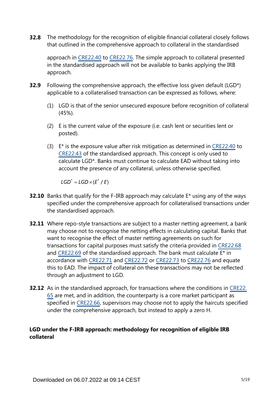**32.8** The methodology for the recognition of eligible financial collateral closely follows that outlined in the comprehensive approach to collateral in the standardised

approach in [CRE22.40](https://www.bis.org/basel_framework/chapter/CRE/22.htm?tldate=20210228&inforce=20191215&published=20191215#paragraph_CRE_22_20191215_22_40) to [CRE22.76](https://www.bis.org/basel_framework/chapter/CRE/22.htm?tldate=20210228&inforce=20191215&published=20191215#paragraph_CRE_22_20191215_22_76). The simple approach to collateral presented in the standardised approach will not be available to banks applying the IRB approach.

- Following the comprehensive approach, the effective loss given default (LGD\*) applicable to a collateralised transaction can be expressed as follows, where: **32.9**
	- (1) LGD is that of the senior unsecured exposure before recognition of collateral (45%).
	- (2) E is the current value of the exposure (i.e. cash lent or securities lent or posted).
	- (3) E\* is the exposure value after risk mitigation as determined in [CRE22.40](https://www.bis.org/basel_framework/chapter/CRE/22.htm?tldate=20210228&inforce=20191215&published=20191215#paragraph_CRE_22_20191215_22_40) to [CRE22.43](https://www.bis.org/basel_framework/chapter/CRE/22.htm?tldate=20210228&inforce=20191215&published=20191215#paragraph_CRE_22_20191215_22_43) of the standardised approach. This concept is only used to calculate LGD\*. Banks must continue to calculate EAD without taking into account the presence of any collateral, unless otherwise specified.

 $LGD^* = LGD \times (E^* / E)$ 

- **32.10** Banks that qualify for the F-IRB approach may calculate E<sup>\*</sup> using any of the ways specified under the comprehensive approach for collateralised transactions under the standardised approach.
- **32.11** Where repo-style transactions are subject to a master netting agreement, a bank may choose not to recognise the netting effects in calculating capital. Banks that want to recognise the effect of master netting agreements on such for transactions for capital purposes must satisfy the criteria provided in [CRE22.68](https://www.bis.org/basel_framework/chapter/CRE/22.htm?tldate=20210228&inforce=20191215&published=20191215#paragraph_CRE_22_20191215_22_68) and [CRE22.69](https://www.bis.org/basel_framework/chapter/CRE/22.htm?tldate=20210228&inforce=20191215&published=20191215#paragraph_CRE_22_20191215_22_69) of the standardised approach. The bank must calculate E\* in accordance with [CRE22.71](https://www.bis.org/basel_framework/chapter/CRE/22.htm?tldate=20210228&inforce=20191215&published=20191215#paragraph_CRE_22_20191215_22_71) and [CRE22.72](https://www.bis.org/basel_framework/chapter/CRE/22.htm?tldate=20210228&inforce=20191215&published=20191215#paragraph_CRE_22_20191215_22_72) or [CRE22.73](https://www.bis.org/basel_framework/chapter/CRE/22.htm?tldate=20210228&inforce=20191215&published=20191215#paragraph_CRE_22_20191215_22_73) to [CRE22.76](https://www.bis.org/basel_framework/chapter/CRE/22.htm?tldate=20210228&inforce=20191215&published=20191215#paragraph_CRE_22_20191215_22_76) and equate this to EAD. The impact of collateral on these transactions may not be reflected through an adjustment to LGD.
- **32.12** As in the standardised approach, for transactions where the conditions in [CRE22.](https://www.bis.org/basel_framework/chapter/CRE/22.htm?tldate=20210228&inforce=20191215&published=20191215#paragraph_CRE_22_20191215_22_65) [65](https://www.bis.org/basel_framework/chapter/CRE/22.htm?tldate=20210228&inforce=20191215&published=20191215#paragraph_CRE_22_20191215_22_65) are met, and in addition, the counterparty is a core market participant as specified in [CRE22.66](https://www.bis.org/basel_framework/chapter/CRE/22.htm?tldate=20210228&inforce=20191215&published=20191215#paragraph_CRE_22_20191215_22_66), supervisors may choose not to apply the haircuts specified under the comprehensive approach, but instead to apply a zero H.

## **LGD under the F-IRB approach: methodology for recognition of eligible IRB collateral**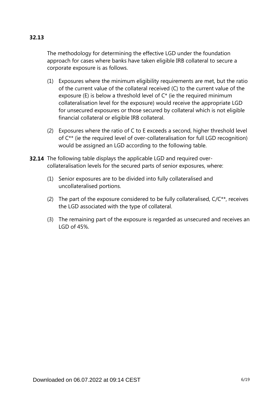## **32.13**

The methodology for determining the effective LGD under the foundation approach for cases where banks have taken eligible IRB collateral to secure a corporate exposure is as follows.

- (1) Exposures where the minimum eligibility requirements are met, but the ratio of the current value of the collateral received (C) to the current value of the exposure (E) is below a threshold level of C\* (ie the required minimum collateralisation level for the exposure) would receive the appropriate LGD for unsecured exposures or those secured by collateral which is not eligible financial collateral or eligible IRB collateral.
- (2) Exposures where the ratio of C to E exceeds a second, higher threshold level of C\*\* (ie the required level of over-collateralisation for full LGD recognition) would be assigned an LGD according to the following table.
- **32.14** The following table displays the applicable LGD and required overcollateralisation levels for the secured parts of senior exposures, where:
	- (1) Senior exposures are to be divided into fully collateralised and uncollateralised portions.
	- (2) The part of the exposure considered to be fully collateralised,  $C/C**$ , receives the LGD associated with the type of collateral.
	- (3) The remaining part of the exposure is regarded as unsecured and receives an LGD of 45%.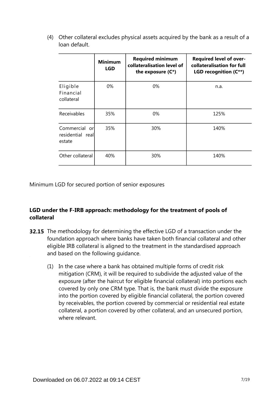(4) Other collateral excludes physical assets acquired by the bank as a result of a loan default.

|                                             | <b>Minimum</b><br>LGD | <b>Required minimum</b><br>collateralisation level of<br>the exposure $(C^*)$ | <b>Required level of over-</b><br>collateralisation for full<br>LGD recognition (C**) |
|---------------------------------------------|-----------------------|-------------------------------------------------------------------------------|---------------------------------------------------------------------------------------|
| Eligible<br>Financial<br>collateral         | 0%                    | $0\%$                                                                         | n.a.                                                                                  |
| Receivables                                 | 35%                   | $0\%$                                                                         | 125%                                                                                  |
| Commercial or<br>residential real<br>estate | 35%                   | 30%                                                                           | 140%                                                                                  |
| Other collateral                            | 40%                   | 30%                                                                           | 140%                                                                                  |

Minimum LGD for secured portion of senior exposures

## **LGD under the F-IRB approach: methodology for the treatment of pools of collateral**

- **32.15** The methodology for determining the effective LGD of a transaction under the foundation approach where banks have taken both financial collateral and other eligible IRB collateral is aligned to the treatment in the standardised approach and based on the following guidance.
	- (1) In the case where a bank has obtained multiple forms of credit risk mitigation (CRM), it will be required to subdivide the adjusted value of the exposure (after the haircut for eligible financial collateral) into portions each covered by only one CRM type. That is, the bank must divide the exposure into the portion covered by eligible financial collateral, the portion covered by receivables, the portion covered by commercial or residential real estate collateral, a portion covered by other collateral, and an unsecured portion, where relevant.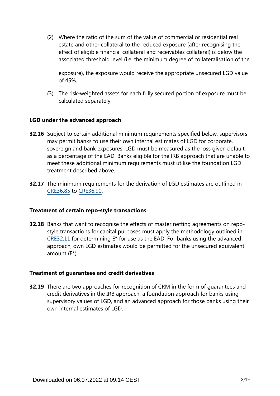(2) Where the ratio of the sum of the value of commercial or residential real estate and other collateral to the reduced exposure (after recognising the effect of eligible financial collateral and receivables collateral) is below the associated threshold level (i.e. the minimum degree of collateralisation of the

exposure), the exposure would receive the appropriate unsecured LGD value of 45%.

(3) The risk-weighted assets for each fully secured portion of exposure must be calculated separately.

## **LGD under the advanced approach**

- **32.16** Subject to certain additional minimum requirements specified below, supervisors may permit banks to use their own internal estimates of LGD for corporate, sovereign and bank exposures. LGD must be measured as the loss given default as a percentage of the EAD. Banks eligible for the IRB approach that are unable to meet these additional minimum requirements must utilise the foundation LGD treatment described above.
- **32.17** The minimum requirements for the derivation of LGD estimates are outlined in [CRE36.85](https://www.bis.org/basel_framework/chapter/CRE/36.htm?tldate=20210228&inforce=20191215&published=20191215#paragraph_CRE_36_20191215_36_85) to [CRE36.90](https://www.bis.org/basel_framework/chapter/CRE/36.htm?tldate=20210228&inforce=20191215&published=20191215#paragraph_CRE_36_20191215_36_90).

## **Treatment of certain repo-style transactions**

**32.18** Banks that want to recognise the effects of master netting agreements on repostyle transactions for capital purposes must apply the methodology outlined in [CRE32.11](https://www.bis.org/basel_framework/chapter/CRE/32.htm?tldate=20210228&inforce=20191215&published=20191215#paragraph_CRE_32_20191215_32_11) for determining E\* for use as the EAD. For banks using the advanced approach, own LGD estimates would be permitted for the unsecured equivalent amount (E\*).

## **Treatment of guarantees and credit derivatives**

**32.19** There are two approaches for recognition of CRM in the form of guarantees and credit derivatives in the IRB approach: a foundation approach for banks using supervisory values of LGD, and an advanced approach for those banks using their own internal estimates of LGD.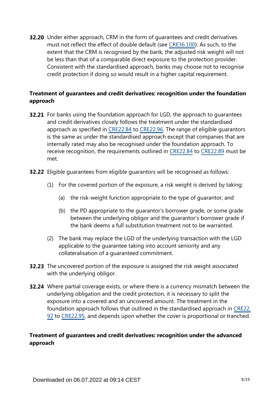**32.20** Under either approach, CRM in the form of guarantees and credit derivatives must not reflect the effect of double default (see [CRE36.100](https://www.bis.org/basel_framework/chapter/CRE/36.htm?tldate=20210228&inforce=20191215&published=20191215#paragraph_CRE_36_20191215_36_100)). As such, to the extent that the CRM is recognised by the bank, the adjusted risk weight will not be less than that of a comparable direct exposure to the protection provider. Consistent with the standardised approach, banks may choose not to recognise credit protection if doing so would result in a higher capital requirement.

## **Treatment of guarantees and credit derivatives: recognition under the foundation approach**

- **32.21** For banks using the foundation approach for LGD, the approach to guarantees and credit derivatives closely follows the treatment under the standardised approach as specified in [CRE22.84](https://www.bis.org/basel_framework/chapter/CRE/22.htm?tldate=20210228&inforce=20191215&published=20191215#paragraph_CRE_22_20191215_22_84) to [CRE22.96.](https://www.bis.org/basel_framework/chapter/CRE/22.htm?tldate=20210228&inforce=20191215&published=20191215#paragraph_CRE_22_20191215_22_96) The range of eligible guarantors is the same as under the standardised approach except that companies that are internally rated may also be recognised under the foundation approach. To receive recognition, the requirements outlined in [CRE22.84](https://www.bis.org/basel_framework/chapter/CRE/22.htm?tldate=20210228&inforce=20191215&published=20191215#paragraph_CRE_22_20191215_22_84) to [CRE22.89](https://www.bis.org/basel_framework/chapter/CRE/22.htm?tldate=20210228&inforce=20191215&published=20191215#paragraph_CRE_22_20191215_22_89) must be met.
- **32.22** Eligible guarantees from eligible guarantors will be recognised as follows:
	- (1) For the covered portion of the exposure, a risk weight is derived by taking:
		- (a) the risk-weight function appropriate to the type of guarantor, and
		- (b) the PD appropriate to the guarantor's borrower grade, or some grade between the underlying obligor and the guarantor's borrower grade if the bank deems a full substitution treatment not to be warranted.
	- (2) The bank may replace the LGD of the underlying transaction with the LGD applicable to the guarantee taking into account seniority and any collateralisation of a guaranteed commitment.
- **32.23** The uncovered portion of the exposure is assigned the risk weight associated with the underlying obligor.
- **32.24** Where partial coverage exists, or where there is a currency mismatch between the underlying obligation and the credit protection, it is necessary to split the exposure into a covered and an uncovered amount. The treatment in the foundation approach follows that outlined in the standardised approach in [CRE22.](https://www.bis.org/basel_framework/chapter/CRE/22.htm?tldate=20210228&inforce=20191215&published=20191215#paragraph_CRE_22_20191215_22_92) [92](https://www.bis.org/basel_framework/chapter/CRE/22.htm?tldate=20210228&inforce=20191215&published=20191215#paragraph_CRE_22_20191215_22_92) to [CRE22.95,](https://www.bis.org/basel_framework/chapter/CRE/22.htm?tldate=20210228&inforce=20191215&published=20191215#paragraph_CRE_22_20191215_22_95) and depends upon whether the cover is proportional or tranched.

## **Treatment of guarantees and credit derivatives: recognition under the advanced approach**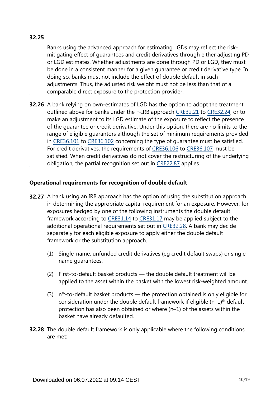## **32.25**

Banks using the advanced approach for estimating LGDs may reflect the riskmitigating effect of guarantees and credit derivatives through either adjusting PD or LGD estimates. Whether adjustments are done through PD or LGD, they must be done in a consistent manner for a given guarantee or credit derivative type. In doing so, banks must not include the effect of double default in such adjustments. Thus, the adjusted risk weight must not be less than that of a comparable direct exposure to the protection provider.

**32.26** A bank relying on own-estimates of LGD has the option to adopt the treatment outlined above for banks under the F-IRB approach [CRE32.21](https://www.bis.org/basel_framework/chapter/CRE/32.htm?tldate=20210228&inforce=20191215&published=20191215#paragraph_CRE_32_20191215_32_21) to [CRE32.24](https://www.bis.org/basel_framework/chapter/CRE/32.htm?tldate=20210228&inforce=20191215&published=20191215#paragraph_CRE_32_20191215_32_24), or to make an adjustment to its LGD estimate of the exposure to reflect the presence of the guarantee or credit derivative. Under this option, there are no limits to the range of eligible guarantors although the set of minimum requirements provided in [CRE36.101](https://www.bis.org/basel_framework/chapter/CRE/36.htm?tldate=20210228&inforce=20191215&published=20191215#paragraph_CRE_36_20191215_36_101) to [CRE36.102](https://www.bis.org/basel_framework/chapter/CRE/36.htm?tldate=20210228&inforce=20191215&published=20191215#paragraph_CRE_36_20191215_36_102) concerning the type of guarantee must be satisfied. For credit derivatives, the requirements of [CRE36.106](https://www.bis.org/basel_framework/chapter/CRE/36.htm?tldate=20210228&inforce=20191215&published=20191215#paragraph_CRE_36_20191215_36_106) to [CRE36.107](https://www.bis.org/basel_framework/chapter/CRE/36.htm?tldate=20210228&inforce=20191215&published=20191215#paragraph_CRE_36_20191215_36_107) must be satisfied. When credit derivatives do not cover the restructuring of the underlying obligation, the partial recognition set out in [CRE22.87](https://www.bis.org/basel_framework/chapter/CRE/22.htm?tldate=20210228&inforce=20191215&published=20191215#paragraph_CRE_22_20191215_22_87) applies.

## **Operational requirements for recognition of double default**

- **32.27** A bank using an IRB approach has the option of using the substitution approach in determining the appropriate capital requirement for an exposure. However, for exposures hedged by one of the following instruments the double default framework according to [CRE31.14](https://www.bis.org/basel_framework/chapter/CRE/31.htm?tldate=20210228&inforce=20191215&published=20191215#paragraph_CRE_31_20191215_31_14) to [CRE31.17](https://www.bis.org/basel_framework/chapter/CRE/31.htm?tldate=20210228&inforce=20191215&published=20191215#paragraph_CRE_31_20191215_31_17) may be applied subject to the additional operational requirements set out in [CRE32.28](https://www.bis.org/basel_framework/chapter/CRE/32.htm?tldate=20210228&inforce=20191215&published=20191215#paragraph_CRE_32_20191215_32_28). A bank may decide separately for each eligible exposure to apply either the double default framework or the substitution approach.
	- (1) Single-name, unfunded credit derivatives (eg credit default swaps) or singlename guarantees.
	- (2) First-to-default basket products the double default treatment will be applied to the asset within the basket with the lowest risk-weighted amount.
	- $(3)$  n<sup>th-to-default basket products the protection obtained is only eligible for</sup> consideration under the double default framework if eligible  $(n-1)$ <sup>th</sup> default protection has also been obtained or where (n–1) of the assets within the basket have already defaulted.
- **32.28** The double default framework is only applicable where the following conditions are met: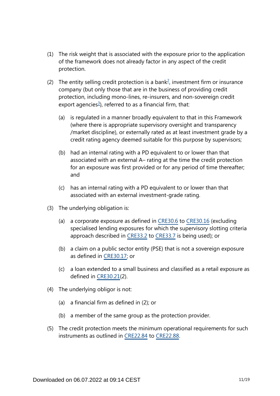- (1) The risk weight that is associated with the exposure prior to the application of the framework does not already factor in any aspect of the credit protection.
- <span id="page-10-1"></span><span id="page-10-0"></span>([2](#page-11-0)) The entity selling credit protection is a bank<sup>2</sup>, investment firm or insurance company (but only those that are in the business of providing credit protection, including mono-lines, re-insurers, and non-sovereign credit export agencies<sup>[3](#page-11-1)</sup>), referred to as a financial firm, that:
	- (a) is regulated in a manner broadly equivalent to that in this Framework (where there is appropriate supervisory oversight and transparency /market discipline), or externally rated as at least investment grade by a credit rating agency deemed suitable for this purpose by supervisors;
	- (b) had an internal rating with a PD equivalent to or lower than that associated with an external A– rating at the time the credit protection for an exposure was first provided or for any period of time thereafter; and
	- (c) has an internal rating with a PD equivalent to or lower than that associated with an external investment-grade rating.
- (3) The underlying obligation is:
	- (a) a corporate exposure as defined in [CRE30.6](https://www.bis.org/basel_framework/chapter/CRE/30.htm?tldate=20210228&inforce=20191215&published=20191215#paragraph_CRE_30_20191215_30_6) to [CRE30.16](https://www.bis.org/basel_framework/chapter/CRE/30.htm?tldate=20210228&inforce=20191215&published=20191215#paragraph_CRE_30_20191215_30_16) (excluding specialised lending exposures for which the supervisory slotting criteria approach described in [CRE33.2](https://www.bis.org/basel_framework/chapter/CRE/33.htm?tldate=20210228&inforce=20191215&published=20191215#paragraph_CRE_33_20191215_33_2) to [CRE33.7](https://www.bis.org/basel_framework/chapter/CRE/33.htm?tldate=20210228&inforce=20191215&published=20191215#paragraph_CRE_33_20191215_33_7) is being used); or
	- (b) a claim on a public sector entity (PSE) that is not a sovereign exposure as defined in [CRE30.17;](https://www.bis.org/basel_framework/chapter/CRE/30.htm?tldate=20210228&inforce=20191215&published=20191215#paragraph_CRE_30_20191215_30_17) or
	- (c) a loan extended to a small business and classified as a retail exposure as defined in [CRE30.21](https://www.bis.org/basel_framework/chapter/CRE/30.htm?tldate=20210228&inforce=20191215&published=20191215#paragraph_CRE_30_20191215_30_21)(2).
- (4) The underlying obligor is not:
	- (a) a financial firm as defined in (2); or
	- (b) a member of the same group as the protection provider.
- (5) The credit protection meets the minimum operational requirements for such instruments as outlined in [CRE22.84](https://www.bis.org/basel_framework/chapter/CRE/22.htm?tldate=20210228&inforce=20191215&published=20191215#paragraph_CRE_22_20191215_22_84) to [CRE22.88.](https://www.bis.org/basel_framework/chapter/CRE/22.htm?tldate=20210228&inforce=20191215&published=20191215#paragraph_CRE_22_20191215_22_88)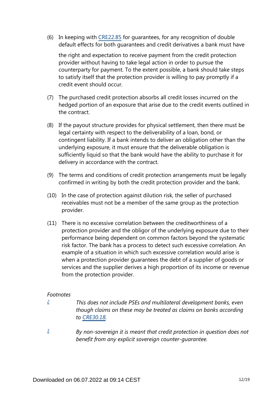(6) In keeping with [CRE22.85](https://www.bis.org/basel_framework/chapter/CRE/22.htm?tldate=20210228&inforce=20191215&published=20191215#paragraph_CRE_22_20191215_22_85) for guarantees, for any recognition of double default effects for both guarantees and credit derivatives a bank must have

the right and expectation to receive payment from the credit protection provider without having to take legal action in order to pursue the counterparty for payment. To the extent possible, a bank should take steps to satisfy itself that the protection provider is willing to pay promptly if a credit event should occur.

- (7) The purchased credit protection absorbs all credit losses incurred on the hedged portion of an exposure that arise due to the credit events outlined in the contract.
- (8) If the payout structure provides for physical settlement, then there must be legal certainty with respect to the deliverability of a loan, bond, or contingent liability. If a bank intends to deliver an obligation other than the underlying exposure, it must ensure that the deliverable obligation is sufficiently liquid so that the bank would have the ability to purchase it for delivery in accordance with the contract.
- (9) The terms and conditions of credit protection arrangements must be legally confirmed in writing by both the credit protection provider and the bank.
- (10) In the case of protection against dilution risk, the seller of purchased receivables must not be a member of the same group as the protection provider.
- (11) There is no excessive correlation between the creditworthiness of a protection provider and the obligor of the underlying exposure due to their performance being dependent on common factors beyond the systematic risk factor. The bank has a process to detect such excessive correlation. An example of a situation in which such excessive correlation would arise is when a protection provider guarantees the debt of a supplier of goods or services and the supplier derives a high proportion of its income or revenue from the protection provider.

## *Footnotes*

<span id="page-11-0"></span>*[2](#page-10-0)*

*This does not include PSEs and multilateral development banks, even though claims on these may be treated as claims on banks according to [CRE30.18](https://www.bis.org/basel_framework/chapter/CRE/30.htm?tldate=20210228&inforce=20191215&published=20191215#paragraph_CRE_30_20191215_30_18).*

<span id="page-11-1"></span>*By non-sovereign it is meant that credit protection in question does not benefit from any explicit sovereign counter-guarantee. [3](#page-10-1)*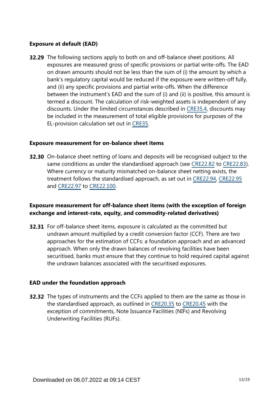### **Exposure at default (EAD)**

**32.29** The following sections apply to both on and off-balance sheet positions. All exposures are measured gross of specific provisions or partial write-offs. The EAD on drawn amounts should not be less than the sum of (i) the amount by which a bank's regulatory capital would be reduced if the exposure were written-off fully, and (ii) any specific provisions and partial write-offs. When the difference between the instrument's EAD and the sum of (i) and (ii) is positive, this amount is termed a discount. The calculation of risk-weighted assets is independent of any discounts. Under the limited circumstances described in [CRE35.4,](https://www.bis.org/basel_framework/chapter/CRE/35.htm?tldate=20210228&inforce=20191215&published=20191215#paragraph_CRE_35_20191215_35_4) discounts may be included in the measurement of total eligible provisions for purposes of the EL-provision calculation set out in [CRE35.](https://www.bis.org/basel_framework/chapter/CRE/35.htm?tldate=20210228&inforce=20191215&published=20191215)

#### **Exposure measurement for on-balance sheet items**

**32.30** On-balance sheet netting of loans and deposits will be recognised subject to the same conditions as under the standardised approach (see [CRE22.82](https://www.bis.org/basel_framework/chapter/CRE/22.htm?tldate=20210228&inforce=20191215&published=20191215#paragraph_CRE_22_20191215_22_82) to [CRE22.83](https://www.bis.org/basel_framework/chapter/CRE/22.htm?tldate=20210228&inforce=20191215&published=20191215#paragraph_CRE_22_20191215_22_83)). Where currency or maturity mismatched on-balance sheet netting exists, the treatment follows the standardised approach, as set out in [CRE22.94,](https://www.bis.org/basel_framework/chapter/CRE/22.htm?tldate=20210228&inforce=20191215&published=20191215#paragraph_CRE_22_20191215_22_94) [CRE22.95](https://www.bis.org/basel_framework/chapter/CRE/22.htm?tldate=20210228&inforce=20191215&published=20191215#paragraph_CRE_22_20191215_22_95) and [CRE22.97](https://www.bis.org/basel_framework/chapter/CRE/22.htm?tldate=20210228&inforce=20191215&published=20191215#paragraph_CRE_22_20191215_22_97) to [CRE22.100.](https://www.bis.org/basel_framework/chapter/CRE/22.htm?tldate=20210228&inforce=20191215&published=20191215#paragraph_CRE_22_20191215_22_100)

## **Exposure measurement for off-balance sheet items (with the exception of foreign exchange and interest-rate, equity, and commodity-related derivatives)**

**32.31** For off-balance sheet items, exposure is calculated as the committed but undrawn amount multiplied by a credit conversion factor (CCF). There are two approaches for the estimation of CCFs: a foundation approach and an advanced approach. When only the drawn balances of revolving facilities have been securitised, banks must ensure that they continue to hold required capital against the undrawn balances associated with the securitised exposures.

#### **EAD under the foundation approach**

**32.32** The types of instruments and the CCFs applied to them are the same as those in the standardised approach, as outlined in [CRE20.35](https://www.bis.org/basel_framework/chapter/CRE/20.htm?tldate=20210228&inforce=20191215&published=20191215#paragraph_CRE_20_20191215_20_35) to [CRE20.45](https://www.bis.org/basel_framework/chapter/CRE/20.htm?tldate=20210228&inforce=20191215&published=20191215#paragraph_CRE_20_20191215_20_45) with the exception of commitments, Note Issuance Facilities (NIFs) and Revolving Underwriting Facilities (RUFs).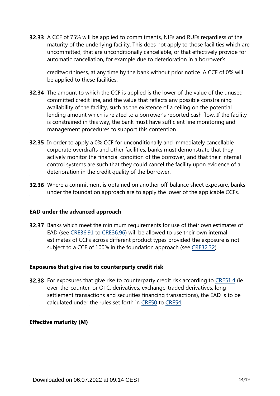**32.33** A CCF of 75% will be applied to commitments, NIFs and RUFs regardless of the maturity of the underlying facility. This does not apply to those facilities which are uncommitted, that are unconditionally cancellable, or that effectively provide for automatic cancellation, for example due to deterioration in a borrower's

creditworthiness, at any time by the bank without prior notice. A CCF of 0% will be applied to these facilities.

- **32.34** The amount to which the CCF is applied is the lower of the value of the unused committed credit line, and the value that reflects any possible constraining availability of the facility, such as the existence of a ceiling on the potential lending amount which is related to a borrower's reported cash flow. If the facility is constrained in this way, the bank must have sufficient line monitoring and management procedures to support this contention.
- **32.35** In order to apply a 0% CCF for unconditionally and immediately cancellable corporate overdrafts and other facilities, banks must demonstrate that they actively monitor the financial condition of the borrower, and that their internal control systems are such that they could cancel the facility upon evidence of a deterioration in the credit quality of the borrower.
- **32.36** Where a commitment is obtained on another off-balance sheet exposure, banks under the foundation approach are to apply the lower of the applicable CCFs.

## **EAD under the advanced approach**

**32.37** Banks which meet the minimum requirements for use of their own estimates of EAD (see [CRE36.91](https://www.bis.org/basel_framework/chapter/CRE/36.htm?tldate=20210228&inforce=20191215&published=20191215#paragraph_CRE_36_20191215_36_91) to [CRE36.96](https://www.bis.org/basel_framework/chapter/CRE/36.htm?tldate=20210228&inforce=20191215&published=20191215#paragraph_CRE_36_20191215_36_96)) will be allowed to use their own internal estimates of CCFs across different product types provided the exposure is not subject to a CCF of 100% in the foundation approach (see [CRE32.32\)](https://www.bis.org/basel_framework/chapter/CRE/32.htm?tldate=20210228&inforce=20191215&published=20191215#paragraph_CRE_32_20191215_32_32).

#### **Exposures that give rise to counterparty credit risk**

**32.38** For exposures that give rise to counterparty credit risk according to [CRE51.4](https://www.bis.org/basel_framework/chapter/CRE/51.htm?tldate=20210228&inforce=20191215&published=20191215#paragraph_CRE_51_20191215_51_4) (ie over-the-counter, or OTC, derivatives, exchange-traded derivatives, long settlement transactions and securities financing transactions), the EAD is to be calculated under the rules set forth in [CRE50](https://www.bis.org/basel_framework/chapter/CRE/50.htm?tldate=20210228&inforce=20191215&published=20191215) to [CRE54](https://www.bis.org/basel_framework/chapter/CRE/54.htm?tldate=20210228&inforce=20191215&published=20191215).

## **Effective maturity (M)**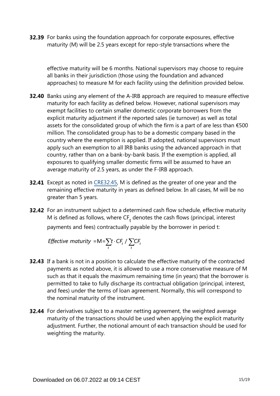**32.39** For banks using the foundation approach for corporate exposures, effective maturity (M) will be 2.5 years except for repo-style transactions where the

effective maturity will be 6 months. National supervisors may choose to require all banks in their jurisdiction (those using the foundation and advanced approaches) to measure M for each facility using the definition provided below.

- **32.40** Banks using any element of the A-IRB approach are required to measure effective maturity for each facility as defined below. However, national supervisors may exempt facilities to certain smaller domestic corporate borrowers from the explicit maturity adjustment if the reported sales (ie turnover) as well as total assets for the consolidated group of which the firm is a part of are less than  $\epsilon$ 500 million. The consolidated group has to be a domestic company based in the country where the exemption is applied. If adopted, national supervisors must apply such an exemption to all IRB banks using the advanced approach in that country, rather than on a bank-by-bank basis. If the exemption is applied, all exposures to qualifying smaller domestic firms will be assumed to have an average maturity of 2.5 years, as under the F-IRB approach.
- **32.41** Except as noted in [CRE32.45,](https://www.bis.org/basel_framework/chapter/CRE/32.htm?tldate=20210228&inforce=20191215&published=20191215#paragraph_CRE_32_20191215_32_45) M is defined as the greater of one year and the remaining effective maturity in years as defined below. In all cases, M will be no greater than 5 years.
- **32.42** For an instrument subject to a determined cash flow schedule, effective maturity M is defined as follows, where  $CF<sub>t</sub>$  denotes the cash flows (principal, interest payments and fees) contractually payable by the borrower in period t:

*Effective maturity* = M =  $\sum_{t} t \cdot CF_t / \sum_{t} CF_t$ 

- **32.43** If a bank is not in a position to calculate the effective maturity of the contracted payments as noted above, it is allowed to use a more conservative measure of M such as that it equals the maximum remaining time (in years) that the borrower is permitted to take to fully discharge its contractual obligation (principal, interest, and fees) under the terms of loan agreement. Normally, this will correspond to the nominal maturity of the instrument.
- **32.44** For derivatives subject to a master netting agreement, the weighted average maturity of the transactions should be used when applying the explicit maturity adjustment. Further, the notional amount of each transaction should be used for weighting the maturity.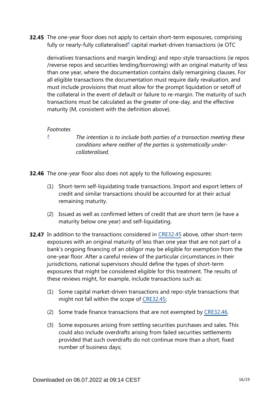<span id="page-15-1"></span>**32.45** The one-year floor does not apply to certain short-term exposures, comprising fully or nearly-fully collateralised<sup>[4](#page-15-0)</sup> capital market-driven transactions (ie OTC

derivatives transactions and margin lending) and repo-style transactions (ie repos /reverse repos and securities lending/borrowing) with an original maturity of less than one year, where the documentation contains daily remargining clauses. For all eligible transactions the documentation must require daily revaluation, and must include provisions that must allow for the prompt liquidation or setoff of the collateral in the event of default or failure to re-margin. The maturity of such transactions must be calculated as the greater of one-day, and the effective maturity (M, consistent with the definition above).

#### *Footnotes*

<span id="page-15-0"></span>*[4](#page-15-1)*

*The intention is to include both parties of a transaction meeting these conditions where neither of the parties is systematically undercollateralised.*

- **32.46** The one-year floor also does not apply to the following exposures:
	- (1) Short-term self-liquidating trade transactions. Import and export letters of credit and similar transactions should be accounted for at their actual remaining maturity.
	- (2) Issued as well as confirmed letters of credit that are short term (ie have a maturity below one year) and self-liquidating.
- **32.47** In addition to the transactions considered in [CRE32.45](https://www.bis.org/basel_framework/chapter/CRE/32.htm?tldate=20210228&inforce=20191215&published=20191215#paragraph_CRE_32_20191215_32_45) above, other short-term exposures with an original maturity of less than one year that are not part of a bank's ongoing financing of an obligor may be eligible for exemption from the one-year floor. After a careful review of the particular circumstances in their jurisdictions, national supervisors should define the types of short-term exposures that might be considered eligible for this treatment. The results of these reviews might, for example, include transactions such as:
	- (1) Some capital market-driven transactions and repo-style transactions that might not fall within the scope of [CRE32.45](https://www.bis.org/basel_framework/chapter/CRE/32.htm?tldate=20210228&inforce=20191215&published=20191215#paragraph_CRE_32_20191215_32_45);
	- (2) Some trade finance transactions that are not exempted by [CRE32.46.](https://www.bis.org/basel_framework/chapter/CRE/32.htm?tldate=20210228&inforce=20191215&published=20191215#paragraph_CRE_32_20191215_32_46)
	- (3) Some exposures arising from settling securities purchases and sales. This could also include overdrafts arising from failed securities settlements provided that such overdrafts do not continue more than a short, fixed number of business days;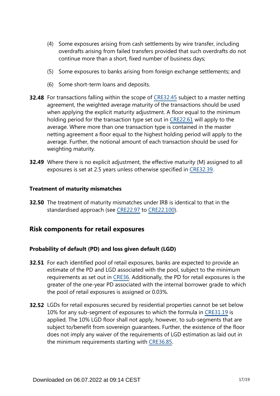- (4) Some exposures arising from cash settlements by wire transfer, including overdrafts arising from failed transfers provided that such overdrafts do not continue more than a short, fixed number of business days;
- (5) Some exposures to banks arising from foreign exchange settlements; and
- (6) Some short-term loans and deposits.
- **32.48** For transactions falling within the scope of [CRE32.45](https://www.bis.org/basel_framework/chapter/CRE/32.htm?tldate=20210228&inforce=20191215&published=20191215#paragraph_CRE_32_20191215_32_45) subject to a master netting agreement, the weighted average maturity of the transactions should be used when applying the explicit maturity adjustment. A floor equal to the minimum holding period for the transaction type set out in [CRE22.61](https://www.bis.org/basel_framework/chapter/CRE/22.htm?tldate=20210228&inforce=20191215&published=20191215#paragraph_CRE_22_20191215_22_61) will apply to the average. Where more than one transaction type is contained in the master netting agreement a floor equal to the highest holding period will apply to the average. Further, the notional amount of each transaction should be used for weighting maturity.
- **32.49** Where there is no explicit adjustment, the effective maturity (M) assigned to all exposures is set at 2.5 years unless otherwise specified in [CRE32.39](https://www.bis.org/basel_framework/chapter/CRE/32.htm?tldate=20210228&inforce=20191215&published=20191215#paragraph_CRE_32_20191215_32_39).

#### **Treatment of maturity mismatches**

**32.50** The treatment of maturity mismatches under IRB is identical to that in the standardised approach (see [CRE22.97](https://www.bis.org/basel_framework/chapter/CRE/22.htm?tldate=20210228&inforce=20191215&published=20191215#paragraph_CRE_22_20191215_22_97) to [CRE22.100](https://www.bis.org/basel_framework/chapter/CRE/22.htm?tldate=20210228&inforce=20191215&published=20191215#paragraph_CRE_22_20191215_22_100)).

## **Risk components for retail exposures**

## **Probability of default (PD) and loss given default (LGD)**

- **32.51** For each identified pool of retail exposures, banks are expected to provide an estimate of the PD and LGD associated with the pool, subject to the minimum requirements as set out in [CRE36](https://www.bis.org/basel_framework/chapter/CRE/36.htm?tldate=20210228&inforce=20191215&published=20191215). Additionally, the PD for retail exposures is the greater of the one-year PD associated with the internal borrower grade to which the pool of retail exposures is assigned or 0.03%.
- **32.52** LGDs for retail exposures secured by residential properties cannot be set below 10% for any sub-segment of exposures to which the formula in [CRE31.19](https://www.bis.org/basel_framework/chapter/CRE/31.htm?tldate=20210228&inforce=20191215&published=20191215#paragraph_CRE_31_20191215_31_19) is applied. The 10% LGD floor shall not apply, however, to sub-segments that are subject to/benefit from sovereign guarantees. Further, the existence of the floor does not imply any waiver of the requirements of LGD estimation as laid out in the minimum requirements starting with [CRE36.85.](https://www.bis.org/basel_framework/chapter/CRE/36.htm?tldate=20210228&inforce=20191215&published=20191215#paragraph_CRE_36_20191215_36_85)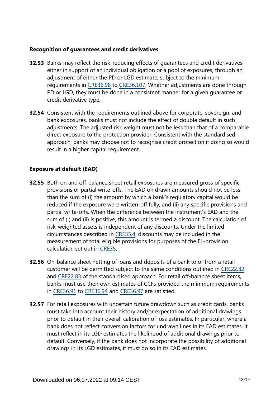### **Recognition of guarantees and credit derivatives**

- **32.53** Banks may reflect the risk-reducing effects of guarantees and credit derivatives, either in support of an individual obligation or a pool of exposures, through an adjustment of either the PD or LGD estimate, subject to the minimum requirements in [CRE36.98](https://www.bis.org/basel_framework/chapter/CRE/36.htm?tldate=20210228&inforce=20191215&published=20191215#paragraph_CRE_36_20191215_36_98) to [CRE36.107](https://www.bis.org/basel_framework/chapter/CRE/36.htm?tldate=20210228&inforce=20191215&published=20191215#paragraph_CRE_36_20191215_36_107). Whether adjustments are done through PD or LGD, they must be done in a consistent manner for a given guarantee or credit derivative type.
- **32.54** Consistent with the requirements outlined above for corporate, sovereign, and bank exposures, banks must not include the effect of double default in such adjustments. The adjusted risk weight must not be less than that of a comparable direct exposure to the protection provider. Consistent with the standardised approach, banks may choose not to recognise credit protection if doing so would result in a higher capital requirement.

## **Exposure at default (EAD)**

- **32.55** Both on and off-balance sheet retail exposures are measured gross of specific provisions or partial write-offs. The EAD on drawn amounts should not be less than the sum of (i) the amount by which a bank's regulatory capital would be reduced if the exposure were written-off fully, and (ii) any specific provisions and partial write-offs. When the difference between the instrument's EAD and the sum of (i) and (ii) is positive, this amount is termed a discount. The calculation of risk-weighted assets is independent of any discounts. Under the limited circumstances described in [CRE35.4,](https://www.bis.org/basel_framework/chapter/CRE/35.htm?tldate=20210228&inforce=20191215&published=20191215#paragraph_CRE_35_20191215_35_4) discounts may be included in the measurement of total eligible provisions for purposes of the EL-provision calculation set out in [CRE35](https://www.bis.org/basel_framework/chapter/CRE/35.htm?tldate=20210228&inforce=20191215&published=20191215).
- **32.56** On-balance sheet netting of loans and deposits of a bank to or from a retail customer will be permitted subject to the same conditions outlined in [CRE22.82](https://www.bis.org/basel_framework/chapter/CRE/22.htm?tldate=20210228&inforce=20191215&published=20191215#paragraph_CRE_22_20191215_22_82) and [CRE22.83](https://www.bis.org/basel_framework/chapter/CRE/22.htm?tldate=20210228&inforce=20191215&published=20191215#paragraph_CRE_22_20191215_22_83) of the standardised approach. For retail off-balance sheet items, banks must use their own estimates of CCFs provided the minimum requirements in [CRE36.91](https://www.bis.org/basel_framework/chapter/CRE/36.htm?tldate=20210228&inforce=20191215&published=20191215#paragraph_CRE_36_20191215_36_91) to [CRE36.94](https://www.bis.org/basel_framework/chapter/CRE/36.htm?tldate=20210228&inforce=20191215&published=20191215#paragraph_CRE_36_20191215_36_94) and [CRE36.97](https://www.bis.org/basel_framework/chapter/CRE/36.htm?tldate=20210228&inforce=20191215&published=20191215#paragraph_CRE_36_20191215_36_97) are satisfied.
- **32.57** For retail exposures with uncertain future drawdown such as credit cards, banks must take into account their history and/or expectation of additional drawings prior to default in their overall calibration of loss estimates. In particular, where a bank does not reflect conversion factors for undrawn lines in its EAD estimates, it must reflect in its LGD estimates the likelihood of additional drawings prior to default. Conversely, if the bank does not incorporate the possibility of additional drawings in its LGD estimates, it must do so in its EAD estimates.